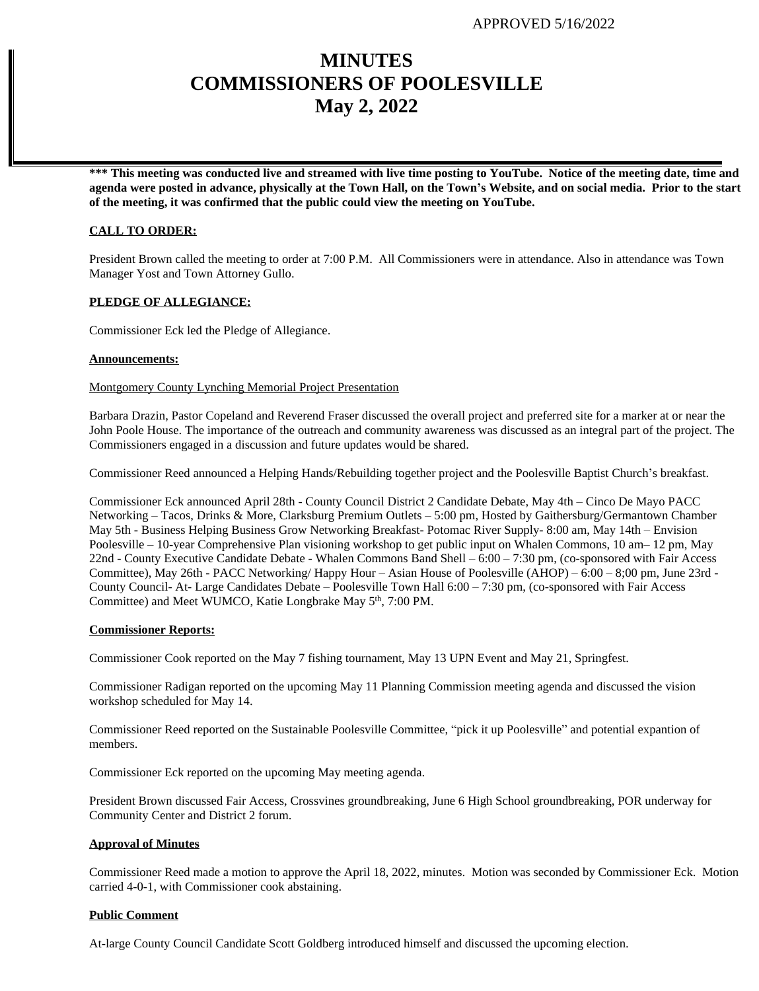# **MINUTES COMMISSIONERS OF POOLESVILLE May 2, 2022**

**\*\*\* This meeting was conducted live and streamed with live time posting to YouTube. Notice of the meeting date, time and agenda were posted in advance, physically at the Town Hall, on the Town's Website, and on social media. Prior to the start of the meeting, it was confirmed that the public could view the meeting on YouTube.**

# **CALL TO ORDER:**

President Brown called the meeting to order at 7:00 P.M. All Commissioners were in attendance. Also in attendance was Town Manager Yost and Town Attorney Gullo.

# **PLEDGE OF ALLEGIANCE:**

Commissioner Eck led the Pledge of Allegiance.

# **Announcements:**

# Montgomery County Lynching Memorial Project Presentation

Barbara Drazin, Pastor Copeland and Reverend Fraser discussed the overall project and preferred site for a marker at or near the John Poole House. The importance of the outreach and community awareness was discussed as an integral part of the project. The Commissioners engaged in a discussion and future updates would be shared.

Commissioner Reed announced a Helping Hands/Rebuilding together project and the Poolesville Baptist Church's breakfast.

Commissioner Eck announced April 28th - County Council District 2 Candidate Debate, May 4th – Cinco De Mayo PACC Networking – Tacos, Drinks & More, Clarksburg Premium Outlets – 5:00 pm, Hosted by Gaithersburg/Germantown Chamber May 5th - Business Helping Business Grow Networking Breakfast- Potomac River Supply- 8:00 am, May 14th – Envision Poolesville – 10-year Comprehensive Plan visioning workshop to get public input on Whalen Commons, 10 am– 12 pm, May 22nd - County Executive Candidate Debate - Whalen Commons Band Shell – 6:00 – 7:30 pm, (co-sponsored with Fair Access Committee), May 26th - PACC Networking/ Happy Hour – Asian House of Poolesville (AHOP) – 6:00 – 8;00 pm, June 23rd - County Council- At- Large Candidates Debate – Poolesville Town Hall 6:00 – 7:30 pm, (co-sponsored with Fair Access Committee) and Meet WUMCO, Katie Longbrake May 5<sup>th</sup>, 7:00 PM.

# **Commissioner Reports:**

Commissioner Cook reported on the May 7 fishing tournament, May 13 UPN Event and May 21, Springfest.

Commissioner Radigan reported on the upcoming May 11 Planning Commission meeting agenda and discussed the vision workshop scheduled for May 14.

Commissioner Reed reported on the Sustainable Poolesville Committee, "pick it up Poolesville" and potential expantion of members.

Commissioner Eck reported on the upcoming May meeting agenda.

President Brown discussed Fair Access, Crossvines groundbreaking, June 6 High School groundbreaking, POR underway for Community Center and District 2 forum.

# **Approval of Minutes**

Commissioner Reed made a motion to approve the April 18, 2022, minutes. Motion was seconded by Commissioner Eck. Motion carried 4-0-1, with Commissioner cook abstaining.

#### **Public Comment**

At-large County Council Candidate Scott Goldberg introduced himself and discussed the upcoming election.